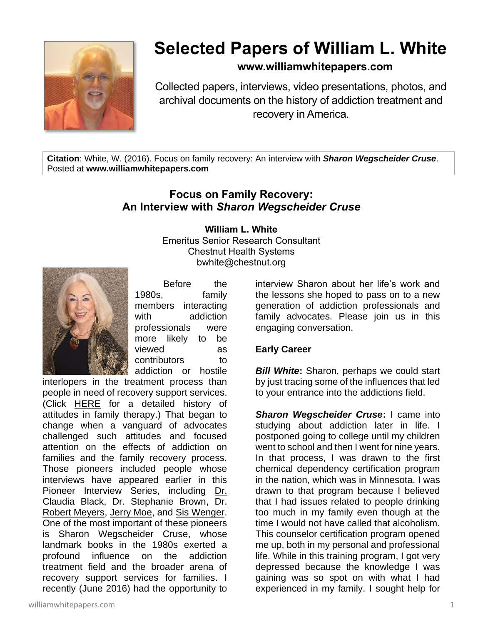

# **Selected Papers of William L. White**

# **www.williamwhitepapers.com**

Collected papers, interviews, video presentations, photos, and archival documents on the history of addiction treatment and recovery in America.

**Citation**: White, W. (2016). Focus on family recovery: An interview with *Sharon Wegscheider Cruse*. Posted at **www.williamwhitepapers.com**

# **Focus on Family Recovery: An Interview with** *Sharon Wegscheider Cruse*

## **William L. White**

Emeritus Senior Research Consultant Chestnut Health Systems bwhite@chestnut.org



Before the 1980s, family members interacting with addiction professionals were more likely to be viewed as contributors to addiction or hostile

interlopers in the treatment process than people in need of recovery support services. (Click [HERE](http://www.williamwhitepapers.com/pr/2005AllintheFamily.pdf) for a detailed history of attitudes in family therapy.) That began to change when a vanguard of advocates challenged such attitudes and focused attention on the effects of addiction on families and the family recovery process. Those pioneers included people whose interviews have appeared earlier in this Pioneer Interview Series, including Dr. [Claudia Black,](http://www.williamwhitepapers.com/pr/2014%20Dr.%20Claudia%20Black.pdf) [Dr. Stephanie Brown,](http://www.williamwhitepapers.com/pr/2011%20Dr.%20Stephanie%20Brown.pdf) [Dr.](http://www.williamwhitepapers.com/pr/2015%20Dr%20Robert%20Meyers.pdf)  [Robert Meyers,](http://www.williamwhitepapers.com/pr/2015%20Dr%20Robert%20Meyers.pdf) [Jerry Moe,](http://www.williamwhitepapers.com/pr/2015%20Jerry%20Moe.pdf) and [Sis Wenger.](http://www.williamwhitepapers.com/pr/2015%20Sis%20Wenger.pdf) One of the most important of these pioneers is Sharon Wegscheider Cruse, whose landmark books in the 1980s exerted a profound influence on the addiction treatment field and the broader arena of recovery support services for families. I recently (June 2016) had the opportunity to

interview Sharon about her life's work and the lessons she hoped to pass on to a new generation of addiction professionals and family advocates. Please join us in this engaging conversation.

## **Early Career**

*Bill White***:** Sharon, perhaps we could start by just tracing some of the influences that led to your entrance into the addictions field.

*Sharon Wegscheider Cruse***:** I came into studying about addiction later in life. I postponed going to college until my children went to school and then I went for nine years. In that process, I was drawn to the first chemical dependency certification program in the nation, which was in Minnesota. I was drawn to that program because I believed that I had issues related to people drinking too much in my family even though at the time I would not have called that alcoholism. This counselor certification program opened me up, both in my personal and professional life. While in this training program, I got very depressed because the knowledge I was gaining was so spot on with what I had experienced in my family. I sought help for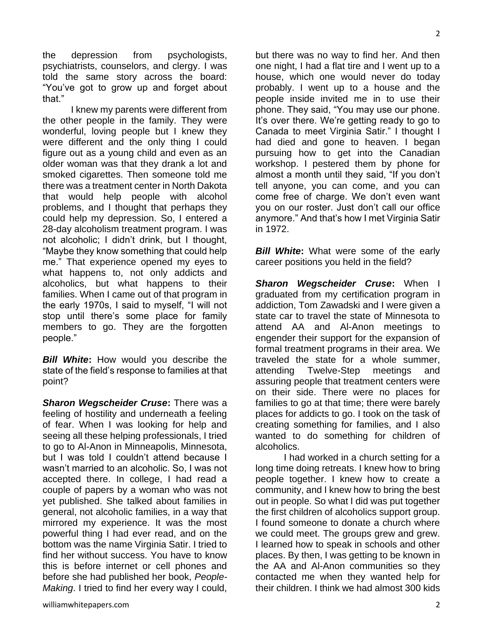the depression from psychologists, psychiatrists, counselors, and clergy. I was told the same story across the board: "You've got to grow up and forget about that."

I knew my parents were different from the other people in the family. They were wonderful, loving people but I knew they were different and the only thing I could figure out as a young child and even as an older woman was that they drank a lot and smoked cigarettes. Then someone told me there was a treatment center in North Dakota that would help people with alcohol problems, and I thought that perhaps they could help my depression. So, I entered a 28-day alcoholism treatment program. I was not alcoholic; I didn't drink, but I thought, "Maybe they know something that could help me." That experience opened my eyes to what happens to, not only addicts and alcoholics, but what happens to their families. When I came out of that program in the early 1970s, I said to myself, "I will not stop until there's some place for family members to go. They are the forgotten people."

*Bill White***:** How would you describe the state of the field's response to families at that point?

*Sharon Wegscheider Cruse***:** There was a feeling of hostility and underneath a feeling of fear. When I was looking for help and seeing all these helping professionals, I tried to go to Al-Anon in Minneapolis, Minnesota, but I was told I couldn't attend because I wasn't married to an alcoholic. So, I was not accepted there. In college, I had read a couple of papers by a woman who was not yet published. She talked about families in general, not alcoholic families, in a way that mirrored my experience. It was the most powerful thing I had ever read, and on the bottom was the name Virginia Satir. I tried to find her without success. You have to know this is before internet or cell phones and before she had published her book, *People-Making*. I tried to find her every way I could,

but there was no way to find her. And then one night, I had a flat tire and I went up to a house, which one would never do today probably. I went up to a house and the people inside invited me in to use their phone. They said, "You may use our phone. It's over there. We're getting ready to go to Canada to meet Virginia Satir." I thought I had died and gone to heaven. I began pursuing how to get into the Canadian workshop. I pestered them by phone for almost a month until they said, "If you don't tell anyone, you can come, and you can come free of charge. We don't even want you on our roster. Just don't call our office anymore." And that's how I met Virginia Satir in 1972.

*Bill White:* What were some of the early career positions you held in the field?

*Sharon Wegscheider Cruse***:** When I graduated from my certification program in addiction, Tom Zawadski and I were given a state car to travel the state of Minnesota to attend AA and Al-Anon meetings to engender their support for the expansion of formal treatment programs in their area. We traveled the state for a whole summer, attending Twelve-Step meetings and assuring people that treatment centers were on their side. There were no places for families to go at that time; there were barely places for addicts to go. I took on the task of creating something for families, and I also wanted to do something for children of alcoholics.

I had worked in a church setting for a long time doing retreats. I knew how to bring people together. I knew how to create a community, and I knew how to bring the best out in people. So what I did was put together the first children of alcoholics support group. I found someone to donate a church where we could meet. The groups grew and grew. I learned how to speak in schools and other places. By then, I was getting to be known in the AA and Al-Anon communities so they contacted me when they wanted help for their children. I think we had almost 300 kids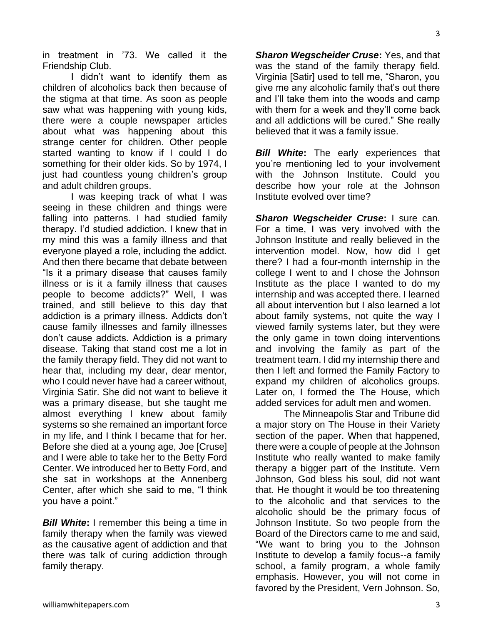in treatment in '73. We called it the Friendship Club.

I didn't want to identify them as children of alcoholics back then because of the stigma at that time. As soon as people saw what was happening with young kids, there were a couple newspaper articles about what was happening about this strange center for children. Other people started wanting to know if I could I do something for their older kids. So by 1974, I just had countless young children's group and adult children groups.

I was keeping track of what I was seeing in these children and things were falling into patterns. I had studied family therapy. I'd studied addiction. I knew that in my mind this was a family illness and that everyone played a role, including the addict. And then there became that debate between "Is it a primary disease that causes family illness or is it a family illness that causes people to become addicts?" Well, I was trained, and still believe to this day that addiction is a primary illness. Addicts don't cause family illnesses and family illnesses don't cause addicts. Addiction is a primary disease. Taking that stand cost me a lot in the family therapy field. They did not want to hear that, including my dear, dear mentor, who I could never have had a career without, Virginia Satir. She did not want to believe it was a primary disease, but she taught me almost everything I knew about family systems so she remained an important force in my life, and I think I became that for her. Before she died at a young age, Joe [Cruse] and I were able to take her to the Betty Ford Center. We introduced her to Betty Ford, and she sat in workshops at the Annenberg Center, after which she said to me, "I think you have a point."

*Bill White***:** I remember this being a time in family therapy when the family was viewed as the causative agent of addiction and that there was talk of curing addiction through family therapy.

*Sharon Wegscheider Cruse***:** Yes, and that was the stand of the family therapy field. Virginia [Satir] used to tell me, "Sharon, you give me any alcoholic family that's out there and I'll take them into the woods and camp with them for a week and they'll come back and all addictions will be cured." She really believed that it was a family issue.

*Bill White***:** The early experiences that you're mentioning led to your involvement with the Johnson Institute. Could you describe how your role at the Johnson Institute evolved over time?

*Sharon Wegscheider Cruse***:** I sure can. For a time, I was very involved with the Johnson Institute and really believed in the intervention model. Now, how did I get there? I had a four-month internship in the college I went to and I chose the Johnson Institute as the place I wanted to do my internship and was accepted there. I learned all about intervention but I also learned a lot about family systems, not quite the way I viewed family systems later, but they were the only game in town doing interventions and involving the family as part of the treatment team. I did my internship there and then I left and formed the Family Factory to expand my children of alcoholics groups. Later on, I formed the The House, which added services for adult men and women.

The Minneapolis Star and Tribune did a major story on The House in their Variety section of the paper. When that happened, there were a couple of people at the Johnson Institute who really wanted to make family therapy a bigger part of the Institute. Vern Johnson, God bless his soul, did not want that. He thought it would be too threatening to the alcoholic and that services to the alcoholic should be the primary focus of Johnson Institute. So two people from the Board of the Directors came to me and said, "We want to bring you to the Johnson Institute to develop a family focus--a family school, a family program, a whole family emphasis. However, you will not come in favored by the President, Vern Johnson. So,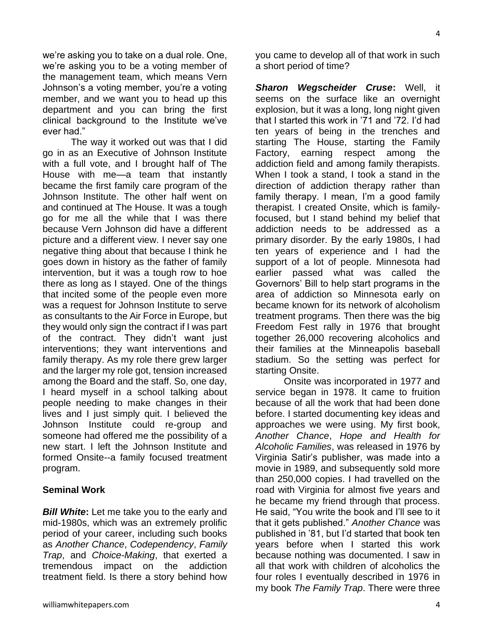we're asking you to take on a dual role. One, we're asking you to be a voting member of the management team, which means Vern Johnson's a voting member, you're a voting member, and we want you to head up this department and you can bring the first clinical background to the Institute we've ever had."

The way it worked out was that I did go in as an Executive of Johnson Institute with a full vote, and I brought half of The House with me—a team that instantly became the first family care program of the Johnson Institute. The other half went on and continued at The House. It was a tough go for me all the while that I was there because Vern Johnson did have a different picture and a different view. I never say one negative thing about that because I think he goes down in history as the father of family intervention, but it was a tough row to hoe there as long as I stayed. One of the things that incited some of the people even more was a request for Johnson Institute to serve as consultants to the Air Force in Europe, but they would only sign the contract if I was part of the contract. They didn't want just interventions; they want interventions and family therapy. As my role there grew larger and the larger my role got, tension increased among the Board and the staff. So, one day, I heard myself in a school talking about people needing to make changes in their lives and I just simply quit. I believed the Johnson Institute could re-group and someone had offered me the possibility of a new start. I left the Johnson Institute and formed Onsite--a family focused treatment program.

#### **Seminal Work**

*Bill White***:** Let me take you to the early and mid-1980s, which was an extremely prolific period of your career, including such books as *Another Chance*, *Codependency*, *Family Trap*, and *Choice-Making*, that exerted a tremendous impact on the addiction treatment field. Is there a story behind how

you came to develop all of that work in such a short period of time?

*Sharon Wegscheider Cruse***:** Well, it seems on the surface like an overnight explosion, but it was a long, long night given that I started this work in '71 and '72. I'd had ten years of being in the trenches and starting The House, starting the Family Factory, earning respect among the addiction field and among family therapists. When I took a stand, I took a stand in the direction of addiction therapy rather than family therapy. I mean, I'm a good family therapist. I created Onsite, which is familyfocused, but I stand behind my belief that addiction needs to be addressed as a primary disorder. By the early 1980s, I had ten years of experience and I had the support of a lot of people. Minnesota had earlier passed what was called the Governors' Bill to help start programs in the area of addiction so Minnesota early on became known for its network of alcoholism treatment programs. Then there was the big Freedom Fest rally in 1976 that brought together 26,000 recovering alcoholics and their families at the Minneapolis baseball stadium. So the setting was perfect for starting Onsite.

Onsite was incorporated in 1977 and service began in 1978. It came to fruition because of all the work that had been done before. I started documenting key ideas and approaches we were using. My first book, *Another Chance*, *Hope and Health for Alcoholic Families*, was released in 1976 by Virginia Satir's publisher, was made into a movie in 1989, and subsequently sold more than 250,000 copies. I had travelled on the road with Virginia for almost five years and he became my friend through that process. He said, "You write the book and I'll see to it that it gets published." *Another Chance* was published in '81, but I'd started that book ten years before when I started this work because nothing was documented. I saw in all that work with children of alcoholics the four roles I eventually described in 1976 in my book *The Family Trap*. There were three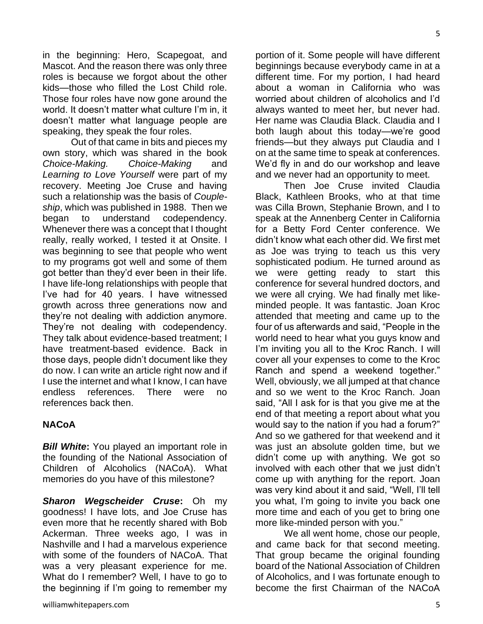in the beginning: Hero, Scapegoat, and Mascot. And the reason there was only three roles is because we forgot about the other kids—those who filled the Lost Child role. Those four roles have now gone around the world. It doesn't matter what culture I'm in, it doesn't matter what language people are speaking, they speak the four roles.

Out of that came in bits and pieces my own story, which was shared in the book *Choice-Making. Choice-Making* and *Learning to Love Yourself* were part of my recovery. Meeting Joe Cruse and having such a relationship was the basis of *Coupleship*, which was published in 1988. Then we began to understand codependency. Whenever there was a concept that I thought really, really worked, I tested it at Onsite. I was beginning to see that people who went to my programs got well and some of them got better than they'd ever been in their life. I have life-long relationships with people that I've had for 40 years. I have witnessed growth across three generations now and they're not dealing with addiction anymore. They're not dealing with codependency. They talk about evidence-based treatment; I have treatment-based evidence. Back in those days, people didn't document like they do now. I can write an article right now and if I use the internet and what I know, I can have endless references. There were no references back then.

#### **NACoA**

*Bill White***:** You played an important role in the founding of the National Association of Children of Alcoholics (NACoA). What memories do you have of this milestone?

*Sharon Wegscheider Cruse***:** Oh my goodness! I have lots, and Joe Cruse has even more that he recently shared with Bob Ackerman. Three weeks ago, I was in Nashville and I had a marvelous experience with some of the founders of NACoA. That was a very pleasant experience for me. What do I remember? Well, I have to go to the beginning if I'm going to remember my

portion of it. Some people will have different beginnings because everybody came in at a different time. For my portion, I had heard about a woman in California who was worried about children of alcoholics and I'd always wanted to meet her, but never had. Her name was Claudia Black. Claudia and I both laugh about this today—we're good friends—but they always put Claudia and I on at the same time to speak at conferences. We'd fly in and do our workshop and leave and we never had an opportunity to meet.

Then Joe Cruse invited Claudia Black, Kathleen Brooks, who at that time was Cilla Brown, Stephanie Brown, and I to speak at the Annenberg Center in California for a Betty Ford Center conference. We didn't know what each other did. We first met as Joe was trying to teach us this very sophisticated podium. He turned around as we were getting ready to start this conference for several hundred doctors, and we were all crying. We had finally met likeminded people. It was fantastic. Joan Kroc attended that meeting and came up to the four of us afterwards and said, "People in the world need to hear what you guys know and I'm inviting you all to the Kroc Ranch. I will cover all your expenses to come to the Kroc Ranch and spend a weekend together." Well, obviously, we all jumped at that chance and so we went to the Kroc Ranch. Joan said, "All I ask for is that you give me at the end of that meeting a report about what you would say to the nation if you had a forum?" And so we gathered for that weekend and it was just an absolute golden time, but we didn't come up with anything. We got so involved with each other that we just didn't come up with anything for the report. Joan was very kind about it and said, "Well, I'll tell you what, I'm going to invite you back one more time and each of you get to bring one more like-minded person with you."

We all went home, chose our people, and came back for that second meeting. That group became the original founding board of the National Association of Children of Alcoholics, and I was fortunate enough to become the first Chairman of the NACoA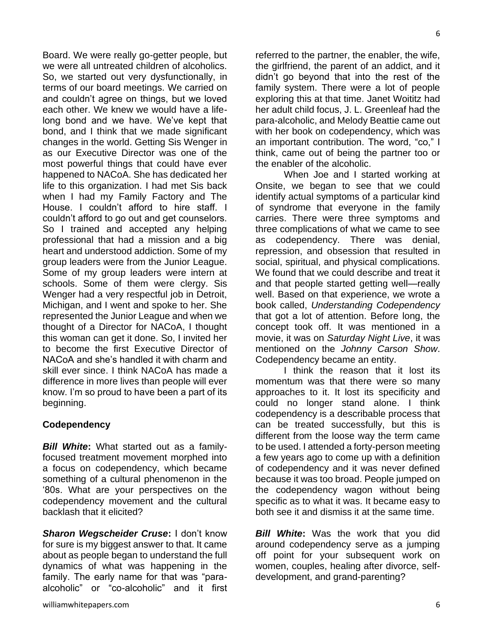referred to the partner, the enabler, the wife, the girlfriend, the parent of an addict, and it didn't go beyond that into the rest of the family system. There were a lot of people exploring this at that time. Janet Woititz had her adult child focus, J. L. Greenleaf had the para-alcoholic, and Melody Beattie came out with her book on codependency, which was an important contribution. The word, "co," I think, came out of being the partner too or the enabler of the alcoholic.

When Joe and I started working at Onsite, we began to see that we could identify actual symptoms of a particular kind of syndrome that everyone in the family carries. There were three symptoms and three complications of what we came to see as codependency. There was denial, repression, and obsession that resulted in social, spiritual, and physical complications. We found that we could describe and treat it and that people started getting well—really well. Based on that experience, we wrote a book called, *Understanding Codependency* that got a lot of attention. Before long, the concept took off. It was mentioned in a movie, it was on *Saturday Night Live*, it was mentioned on the *Johnny Carson Show*. Codependency became an entity.

I think the reason that it lost its momentum was that there were so many approaches to it. It lost its specificity and could no longer stand alone. I think codependency is a describable process that can be treated successfully, but this is different from the loose way the term came to be used. I attended a forty-person meeting a few years ago to come up with a definition of codependency and it was never defined because it was too broad. People jumped on the codependency wagon without being specific as to what it was. It became easy to both see it and dismiss it at the same time.

*Bill White***:** Was the work that you did around codependency serve as a jumping off point for your subsequent work on women, couples, healing after divorce, selfdevelopment, and grand-parenting?

we were all untreated children of alcoholics. So, we started out very dysfunctionally, in terms of our board meetings. We carried on and couldn't agree on things, but we loved each other. We knew we would have a lifelong bond and we have. We've kept that bond, and I think that we made significant changes in the world. Getting Sis Wenger in as our Executive Director was one of the most powerful things that could have ever happened to NACoA. She has dedicated her life to this organization. I had met Sis back when I had my Family Factory and The House. I couldn't afford to hire staff. I couldn't afford to go out and get counselors. So I trained and accepted any helping professional that had a mission and a big heart and understood addiction. Some of my group leaders were from the Junior League. Some of my group leaders were intern at schools. Some of them were clergy. Sis Wenger had a very respectful job in Detroit, Michigan, and I went and spoke to her. She represented the Junior League and when we thought of a Director for NACoA, I thought this woman can get it done. So, I invited her to become the first Executive Director of NACoA and she's handled it with charm and skill ever since. I think NACoA has made a difference in more lives than people will ever know. I'm so proud to have been a part of its beginning.

Board. We were really go-getter people, but

## **Codependency**

*Bill White***:** What started out as a familyfocused treatment movement morphed into a focus on codependency, which became something of a cultural phenomenon in the '80s. What are your perspectives on the codependency movement and the cultural backlash that it elicited?

*Sharon Wegscheider Cruse***:** I don't know for sure is my biggest answer to that. It came about as people began to understand the full dynamics of what was happening in the family. The early name for that was "paraalcoholic" or "co-alcoholic" and it first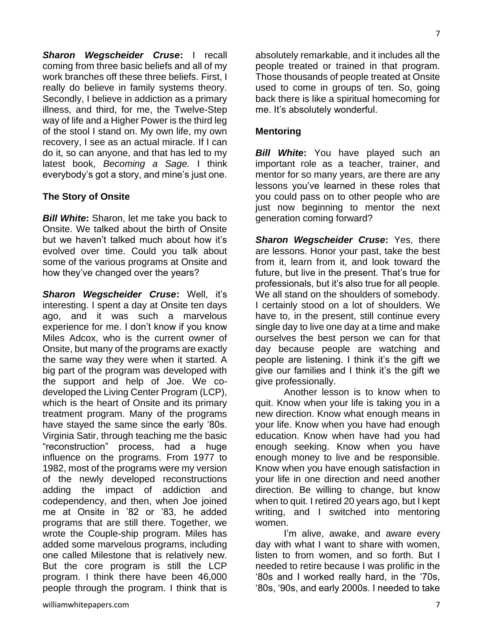*Sharon Wegscheider Cruse***:** I recall coming from three basic beliefs and all of my work branches off these three beliefs. First, I really do believe in family systems theory. Secondly, I believe in addiction as a primary illness, and third, for me, the Twelve-Step way of life and a Higher Power is the third leg of the stool I stand on. My own life, my own recovery, I see as an actual miracle. If I can do it, so can anyone, and that has led to my latest book, *Becoming a Sage.* I think everybody's got a story, and mine's just one.

## **The Story of Onsite**

*Bill White***:** Sharon, let me take you back to Onsite. We talked about the birth of Onsite but we haven't talked much about how it's evolved over time. Could you talk about some of the various programs at Onsite and how they've changed over the years?

*Sharon Wegscheider Cruse***:** Well, it's interesting. I spent a day at Onsite ten days ago, and it was such a marvelous experience for me. I don't know if you know Miles Adcox, who is the current owner of Onsite, but many of the programs are exactly the same way they were when it started. A big part of the program was developed with the support and help of Joe. We codeveloped the Living Center Program (LCP), which is the heart of Onsite and its primary treatment program. Many of the programs have stayed the same since the early '80s. Virginia Satir, through teaching me the basic "reconstruction" process, had a huge influence on the programs. From 1977 to 1982, most of the programs were my version of the newly developed reconstructions adding the impact of addiction and codependency, and then, when Joe joined me at Onsite in '82 or '83, he added programs that are still there. Together, we wrote the Couple-ship program. Miles has added some marvelous programs, including one called Milestone that is relatively new. But the core program is still the LCP program. I think there have been 46,000 people through the program. I think that is

absolutely remarkable, and it includes all the people treated or trained in that program. Those thousands of people treated at Onsite used to come in groups of ten. So, going back there is like a spiritual homecoming for me. It's absolutely wonderful.

## **Mentoring**

*Bill White***:** You have played such an important role as a teacher, trainer, and mentor for so many years, are there are any lessons you've learned in these roles that you could pass on to other people who are just now beginning to mentor the next generation coming forward?

*Sharon Wegscheider Cruse***:** Yes, there are lessons. Honor your past, take the best from it, learn from it, and look toward the future, but live in the present. That's true for professionals, but it's also true for all people. We all stand on the shoulders of somebody. I certainly stood on a lot of shoulders. We have to, in the present, still continue every single day to live one day at a time and make ourselves the best person we can for that day because people are watching and people are listening. I think it's the gift we give our families and I think it's the gift we give professionally.

Another lesson is to know when to quit. Know when your life is taking you in a new direction. Know what enough means in your life. Know when you have had enough education. Know when have had you had enough seeking. Know when you have enough money to live and be responsible. Know when you have enough satisfaction in your life in one direction and need another direction. Be willing to change, but know when to quit. I retired 20 years ago, but I kept writing, and I switched into mentoring women.

I'm alive, awake, and aware every day with what I want to share with women, listen to from women, and so forth. But I needed to retire because I was prolific in the '80s and I worked really hard, in the '70s, '80s, '90s, and early 2000s. I needed to take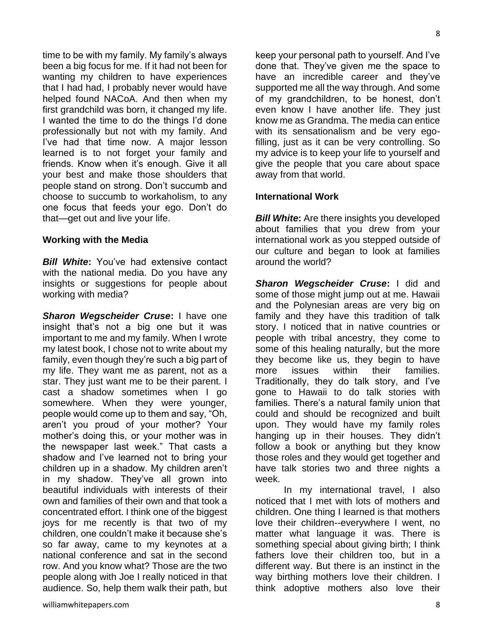time to be with my family. My family's always been a big focus for me. If it had not been for wanting my children to have experiences that I had had, I probably never would have helped found NACoA. And then when my first grandchild was born, it changed my life. I wanted the time to do the things I'd done professionally but not with my family. And I've had that time now. A major lesson learned is to not forget your family and friends. Know when it's enough. Give it all your best and make those shoulders that people stand on strong. Don't succumb and

choose to succumb to workaholism, to any one focus that feeds your ego. Don't do that—get out and live your life.

#### **Working with the Media**

*Bill White***:** You've had extensive contact with the national media. Do you have any insights or suggestions for people about working with media?

*Sharon Wegscheider Cruse***:** I have one insight that's not a big one but it was important to me and my family. When I wrote my latest book, I chose not to write about my family, even though they're such a big part of my life. They want me as parent, not as a star. They just want me to be their parent. I cast a shadow sometimes when I go somewhere. When they were younger, people would come up to them and say, "Oh, aren't you proud of your mother? Your mother's doing this, or your mother was in the newspaper last week." That casts a shadow and I've learned not to bring your children up in a shadow. My children aren't in my shadow. They've all grown into beautiful individuals with interests of their own and families of their own and that took a concentrated effort. I think one of the biggest joys for me recently is that two of my children, one couldn't make it because she's so far away, came to my keynotes at a national conference and sat in the second row. And you know what? Those are the two people along with Joe I really noticed in that audience. So, help them walk their path, but

8

keep your personal path to yourself. And I've done that. They've given me the space to have an incredible career and they've supported me all the way through. And some of my grandchildren, to be honest, don't even know I have another life. They just know me as Grandma. The media can entice with its sensationalism and be very egofilling, just as it can be very controlling. So my advice is to keep your life to yourself and give the people that you care about space away from that world.

## **International Work**

*Bill White***:** Are there insights you developed about families that you drew from your international work as you stepped outside of our culture and began to look at families around the world?

*Sharon Wegscheider Cruse***:** I did and some of those might jump out at me. Hawaii and the Polynesian areas are very big on family and they have this tradition of talk story. I noticed that in native countries or people with tribal ancestry, they come to some of this healing naturally, but the more they become like us, they begin to have more issues within their families. Traditionally, they do talk story, and I've gone to Hawaii to do talk stories with families. There's a natural family union that could and should be recognized and built upon. They would have my family roles hanging up in their houses. They didn't follow a book or anything but they know those roles and they would get together and have talk stories two and three nights a week.

In my international travel, I also noticed that I met with lots of mothers and children. One thing I learned is that mothers love their children--everywhere I went, no matter what language it was. There is something special about giving birth; I think fathers love their children too, but in a different way. But there is an instinct in the way birthing mothers love their children. I think adoptive mothers also love their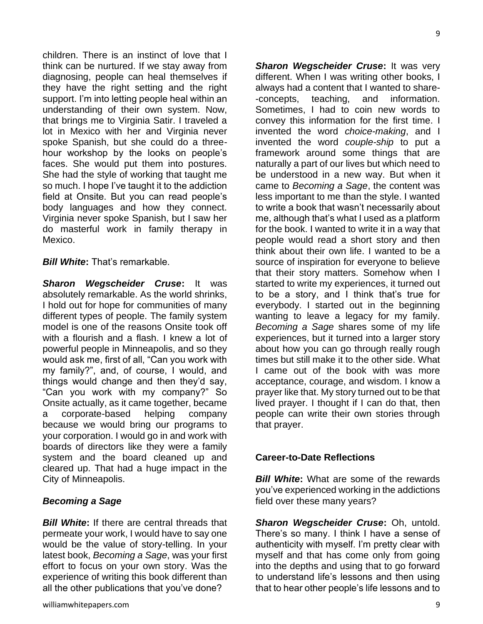children. There is an instinct of love that I think can be nurtured. If we stay away from diagnosing, people can heal themselves if they have the right setting and the right support. I'm into letting people heal within an understanding of their own system. Now, that brings me to Virginia Satir. I traveled a lot in Mexico with her and Virginia never spoke Spanish, but she could do a threehour workshop by the looks on people's faces. She would put them into postures. She had the style of working that taught me so much. I hope I've taught it to the addiction field at Onsite. But you can read people's body languages and how they connect. Virginia never spoke Spanish, but I saw her do masterful work in family therapy in Mexico.

*Bill White: That's remarkable.* 

*Sharon Wegscheider Cruse***:** It was absolutely remarkable. As the world shrinks, I hold out for hope for communities of many different types of people. The family system model is one of the reasons Onsite took off with a flourish and a flash. I knew a lot of powerful people in Minneapolis, and so they would ask me, first of all, "Can you work with my family?", and, of course, I would, and things would change and then they'd say, "Can you work with my company?" So Onsite actually, as it came together, became a corporate-based helping company because we would bring our programs to your corporation. I would go in and work with boards of directors like they were a family system and the board cleaned up and cleared up. That had a huge impact in the City of Minneapolis.

## *Becoming a Sage*

*Bill White***:** If there are central threads that permeate your work, I would have to say one would be the value of story-telling. In your latest book, *Becoming a Sage*, was your first effort to focus on your own story. Was the experience of writing this book different than all the other publications that you've done?

*Sharon Wegscheider Cruse***:** It was very different. When I was writing other books, I always had a content that I wanted to share- -concepts, teaching, and information. Sometimes, I had to coin new words to convey this information for the first time. I invented the word *choice-making*, and I invented the word *couple-ship* to put a framework around some things that are naturally a part of our lives but which need to be understood in a new way. But when it came to *Becoming a Sage*, the content was less important to me than the style. I wanted to write a book that wasn't necessarily about me, although that's what I used as a platform for the book. I wanted to write it in a way that people would read a short story and then think about their own life. I wanted to be a source of inspiration for everyone to believe that their story matters. Somehow when I started to write my experiences, it turned out to be a story, and I think that's true for everybody. I started out in the beginning wanting to leave a legacy for my family. *Becoming a Sage* shares some of my life experiences, but it turned into a larger story about how you can go through really rough times but still make it to the other side. What I came out of the book with was more acceptance, courage, and wisdom. I know a prayer like that. My story turned out to be that lived prayer. I thought if I can do that, then people can write their own stories through that prayer.

## **Career-to-Date Reflections**

*Bill White:* What are some of the rewards you've experienced working in the addictions field over these many years?

*Sharon Wegscheider Cruse***:** Oh, untold. There's so many. I think I have a sense of authenticity with myself. I'm pretty clear with myself and that has come only from going into the depths and using that to go forward to understand life's lessons and then using that to hear other people's life lessons and to